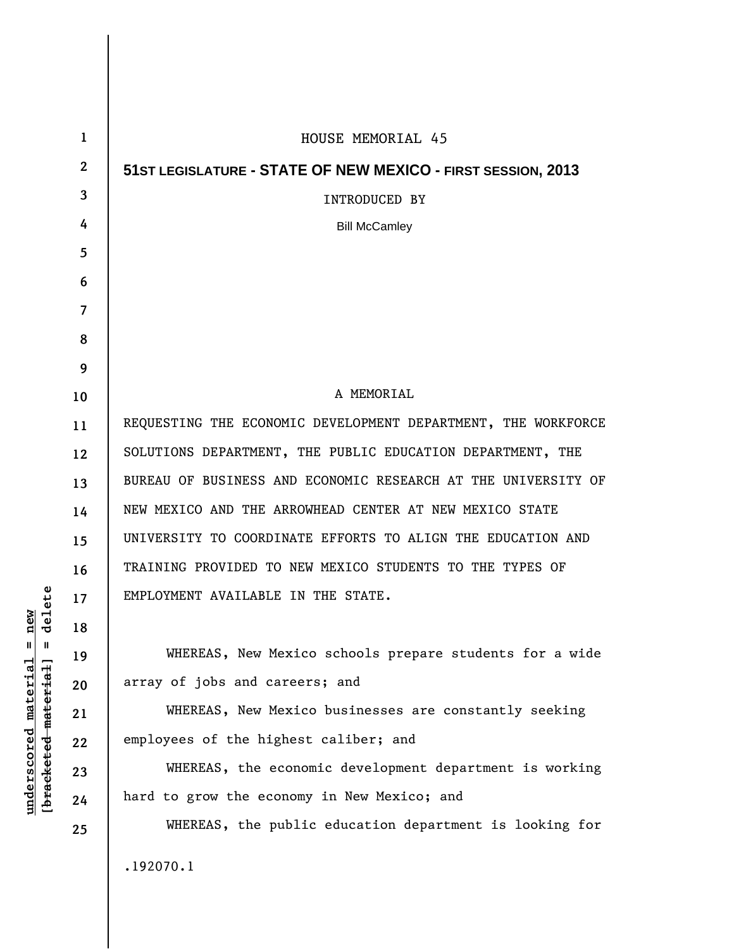| $\mathbf{1}$ | HOUSE MEMORIAL 45                                             |
|--------------|---------------------------------------------------------------|
| $\mathbf{2}$ | 51ST LEGISLATURE - STATE OF NEW MEXICO - FIRST SESSION, 2013  |
| 3            | <b>INTRODUCED BY</b>                                          |
| 4            | <b>Bill McCamley</b>                                          |
| 5            |                                                               |
| 6            |                                                               |
| 7            |                                                               |
| 8            |                                                               |
| 9            |                                                               |
| 10           | A MEMORIAL                                                    |
| 11           | REQUESTING THE ECONOMIC DEVELOPMENT DEPARTMENT, THE WORKFORCE |
| 12           | SOLUTIONS DEPARTMENT, THE PUBLIC EDUCATION DEPARTMENT, THE    |
| 13           | BUREAU OF BUSINESS AND ECONOMIC RESEARCH AT THE UNIVERSITY OF |
| 14           | NEW MEXICO AND THE ARROWHEAD CENTER AT NEW MEXICO STATE       |
| 15           | UNIVERSITY TO COORDINATE EFFORTS TO ALIGN THE EDUCATION AND   |
| 16           | TRAINING PROVIDED TO NEW MEXICO STUDENTS TO THE TYPES OF      |
| 17           | EMPLOYMENT AVAILABLE IN THE STATE.                            |
| 18           |                                                               |
| 19           | WHEREAS, New Mexico schools prepare students for a wide       |
| 20           | array of jobs and careers; and                                |
| 21           | WHEREAS, New Mexico businesses are constantly seeking         |
| 22           | employees of the highest caliber; and                         |
| 23           | WHEREAS, the economic development department is working       |
| 24           | hard to grow the economy in New Mexico; and                   |
| 25           | WHEREAS, the public education department is looking for       |
|              | .192070.1                                                     |
|              |                                                               |
|              |                                                               |

 $\overline{\phantom{a}}$